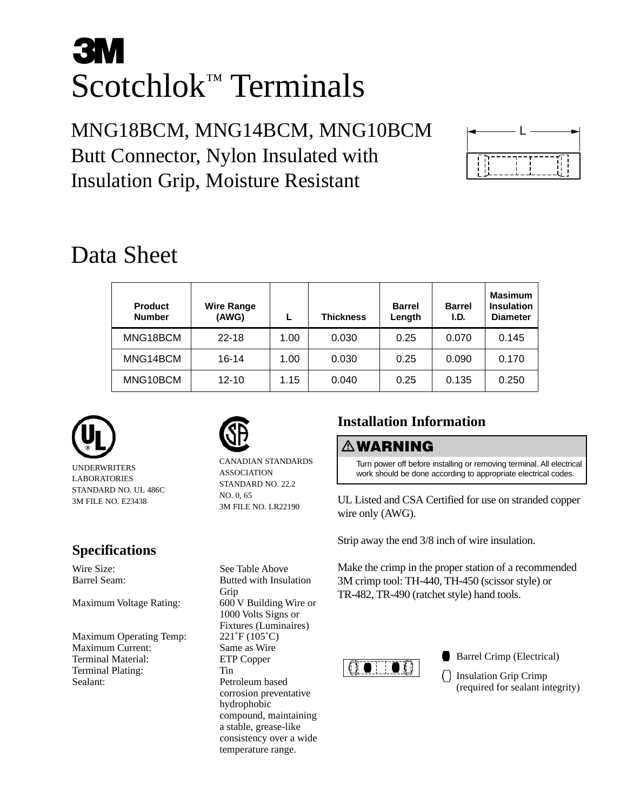# **3M** Scotchlok™ Terminals

MNG18BCM, MNG14BCM, MNG10BCM Butt Connector, Nylon Insulated with Insulation Grip, Moisture Resistant



## Data Sheet

| <b>Product</b><br><b>Number</b> | <b>Wire Range</b><br>(AWG) |      | <b>Thickness</b> | <b>Barrel</b><br>Length | <b>Barrel</b><br>I.D. | <b>Masimum</b><br><b>Insulation</b><br><b>Diameter</b> |
|---------------------------------|----------------------------|------|------------------|-------------------------|-----------------------|--------------------------------------------------------|
| MNG18BCM                        | $22 - 18$                  | 1.00 | 0.030            | 0.25                    | 0.070                 | 0.145                                                  |
| MNG14BCM                        | $16 - 14$                  | 1.00 | 0.030            | 0.25                    | 0.090                 | 0.170                                                  |
| MNG10BCM                        | $12 - 10$                  | 1.15 | 0.040            | 0.25                    | 0.135                 | 0.250                                                  |



UNDERWRITERS LABORATORIES STANDARD NO. UL 486C 3M FILE NO. E23438

#### **Specifications**

Wire Size: See Table Above<br>Barrel Seam: See Table Above<br>Butted with Insul

Maximum Voltage Rating: 600 V Building Wire or

Maximum Operating Temp: 221°F (105°C) Maximum Current: Same as Wire Terminal Material: ETP Copper Terminal Plating: Tin Sealant: Petroleum based



Grip

CANADIAN STANDARDS ASSOCIATION STANDARD NO. 22.2 NO. 0, 65 3M FILE NO. LR22190

Butted with Insulation

1000 Volts Signs or Fixtures (Luminaires)

corrosion preventative

compound, maintaining a stable, grease-like consistency over a wide temperature range.

hydrophobic

### **Installation Information**

#### -**WARNING**

Turn power off before installing or removing terminal. All electrical work should be done according to appropriate electrical codes.

UL Listed and CSA Certified for use on stranded copper wire only (AWG).

Strip away the end 3/8 inch of wire insulation.

Make the crimp in the proper station of a recommended 3M crimp tool: TH-440, TH-450 (scissor style) or TR-482, TR-490 (ratchet style) hand tools.



Barrel Crimp (Electrical)